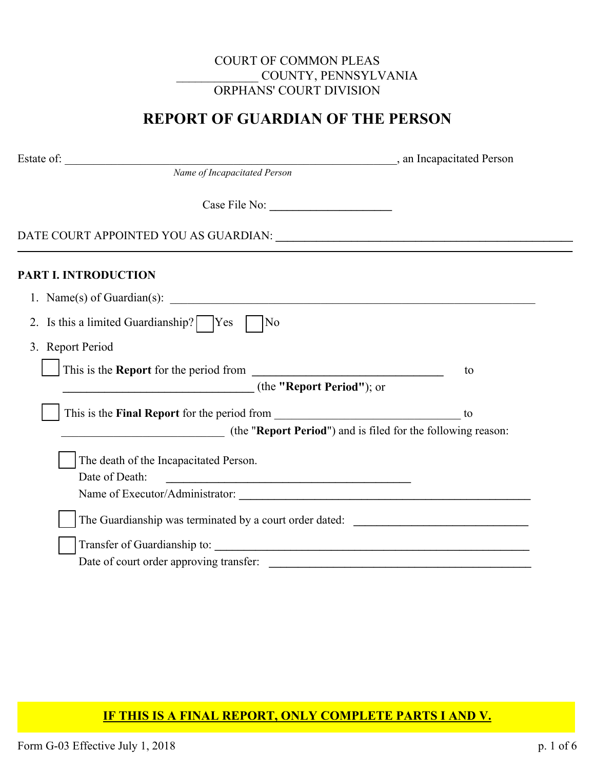# COURT OF COMMON PLEAS \_\_\_\_\_\_\_\_\_\_\_\_\_ COUNTY, PENNSYLVANIA ORPHANS' COURT DIVISION

# **REPORT OF GUARDIAN OF THE PERSON**

Estated Person

*Name of Incapacitated Person*

Case File No: **\_\_\_\_\_\_\_\_\_\_\_\_\_\_\_\_\_\_\_\_\_**

DATE COURT APPOINTED YOU AS GUARDIAN: **\_\_\_\_\_\_\_\_\_\_\_\_\_\_\_\_\_\_\_\_\_\_\_\_\_\_\_\_\_\_\_\_\_\_\_\_\_\_\_\_\_\_\_\_\_\_\_\_\_\_\_\_**

# **PART I. INTRODUCTION**

| 1. Name(s) of Guardian(s):                                                                                                                                                                                                     |    |
|--------------------------------------------------------------------------------------------------------------------------------------------------------------------------------------------------------------------------------|----|
| 2. Is this a limited Guardianship?   Yes<br>No                                                                                                                                                                                 |    |
| 3. Report Period                                                                                                                                                                                                               |    |
|                                                                                                                                                                                                                                | to |
| (the "Report Period"); or                                                                                                                                                                                                      |    |
|                                                                                                                                                                                                                                | to |
| (the "Report Period") and is filed for the following reason:                                                                                                                                                                   |    |
| The death of the Incapacitated Person.                                                                                                                                                                                         |    |
| Date of Death:<br><u> 1989 - Johann Stoff, fransk politik (d. 1989)</u>                                                                                                                                                        |    |
| Name of Executor/Administrator:                                                                                                                                                                                                |    |
| The Guardianship was terminated by a court order dated:                                                                                                                                                                        |    |
| Transfer of Guardianship to: 1999 and 2009 and 2009 and 2009 and 2009 and 2009 and 2009 and 2009 and 2009 and 2009 and 2009 and 2009 and 2009 and 2009 and 2009 and 2009 and 2009 and 2009 and 2009 and 2009 and 2009 and 2009 |    |
| Date of court order approving transfer:                                                                                                                                                                                        |    |

## **IF THIS IS A FINAL REPORT, ONLY COMPLETE PARTS I AND V.**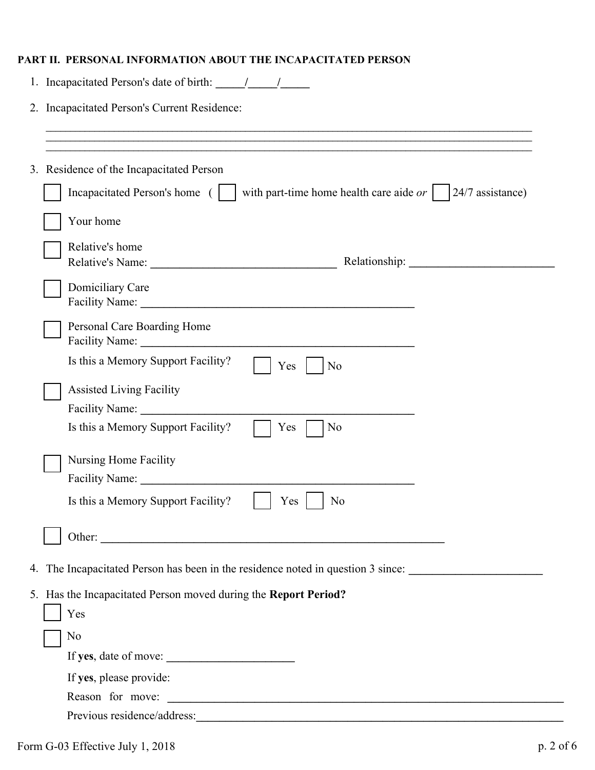## **PART II. PERSONAL INFORMATION ABOUT THE INCAPACITATED PERSON**

| 2. Incapacitated Person's Current Residence:                                                          |
|-------------------------------------------------------------------------------------------------------|
|                                                                                                       |
|                                                                                                       |
|                                                                                                       |
| 3. Residence of the Incapacitated Person                                                              |
| with part-time home health care aide $or \mid$<br>$24/7$ assistance)<br>Incapacitated Person's home ( |
| Your home                                                                                             |
| Relative's home                                                                                       |
|                                                                                                       |
| Domiciliary Care                                                                                      |
| Personal Care Boarding Home                                                                           |
| Is this a Memory Support Facility?<br>Yes<br>No                                                       |
| <b>Assisted Living Facility</b>                                                                       |
|                                                                                                       |
| No<br>Is this a Memory Support Facility?<br>Yes                                                       |
| Nursing Home Facility                                                                                 |
| Facility Name:                                                                                        |
| Is this a Memory Support Facility?<br>Yes<br>No                                                       |
| Other:                                                                                                |
| 4. The Incapacitated Person has been in the residence noted in question 3 since:                      |
| 5. Has the Incapacitated Person moved during the Report Period?                                       |
| Yes                                                                                                   |
| No                                                                                                    |
|                                                                                                       |
| If yes, please provide:                                                                               |
| Reason for move:                                                                                      |
|                                                                                                       |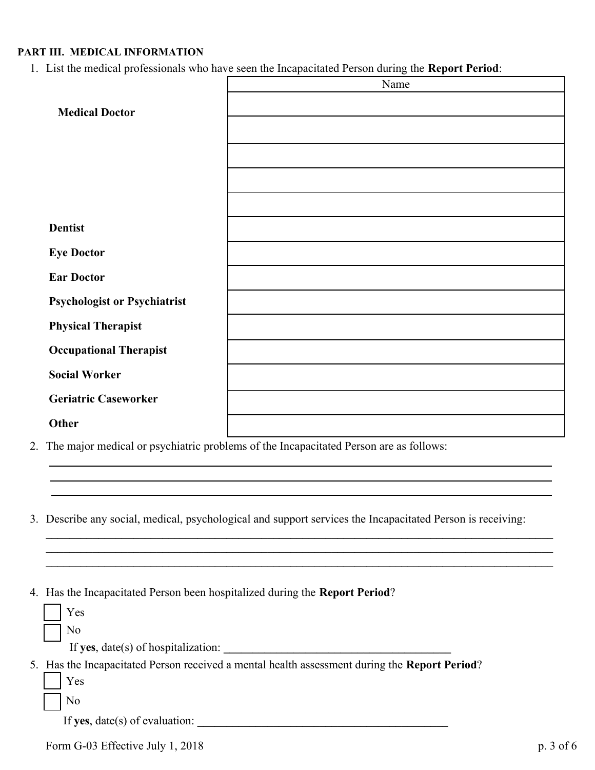#### **PART III. MEDICAL INFORMATION**

1. List the medical professionals who have seen the Incapacitated Person during the **Report Period**:

|                                     | Name |
|-------------------------------------|------|
| <b>Medical Doctor</b>               |      |
|                                     |      |
|                                     |      |
|                                     |      |
|                                     |      |
| <b>Dentist</b>                      |      |
| <b>Eye Doctor</b>                   |      |
| <b>Ear Doctor</b>                   |      |
| <b>Psychologist or Psychiatrist</b> |      |
| <b>Physical Therapist</b>           |      |
| <b>Occupational Therapist</b>       |      |
| <b>Social Worker</b>                |      |
| <b>Geriatric Caseworker</b>         |      |
| Other                               |      |

- 2. The major medical or psychiatric problems of the Incapacitated Person are as follows:
- 3. Describe any social, medical, psychological and support services the Incapacitated Person is receiving:

**\_\_\_\_\_\_\_\_\_\_\_\_\_\_\_\_\_\_\_\_\_\_\_\_\_\_\_\_\_\_\_\_\_\_\_\_\_\_\_\_\_\_\_\_\_\_\_\_\_\_\_\_\_\_\_\_\_\_\_\_\_\_\_\_\_\_\_\_\_\_\_\_\_\_\_\_\_\_\_\_\_\_\_\_\_\_\_ \_\_\_\_\_\_\_\_\_\_\_\_\_\_\_\_\_\_\_\_\_\_\_\_\_\_\_\_\_\_\_\_\_\_\_\_\_\_\_\_\_\_\_\_\_\_\_\_\_\_\_\_\_\_\_\_\_\_\_\_\_\_\_\_\_\_\_\_\_\_\_\_\_\_\_\_\_\_\_\_\_\_\_\_\_\_\_ \_\_\_\_\_\_\_\_\_\_\_\_\_\_\_\_\_\_\_\_\_\_\_\_\_\_\_\_\_\_\_\_\_\_\_\_\_\_\_\_\_\_\_\_\_\_\_\_\_\_\_\_\_\_\_\_\_\_\_\_\_\_\_\_\_\_\_\_\_\_\_\_\_\_\_\_\_\_\_\_\_\_\_\_\_\_\_**

|  | 4. Has the Incapacitated Person been hospitalized during the Report Period? |  |  |  |  |
|--|-----------------------------------------------------------------------------|--|--|--|--|
|--|-----------------------------------------------------------------------------|--|--|--|--|

|  | Yes                                                                                           |
|--|-----------------------------------------------------------------------------------------------|
|  | No                                                                                            |
|  | If yes, $date(s)$ of hospitalization:                                                         |
|  | 5. Has the Incapacitated Person received a mental health assessment during the Report Period? |
|  | Yes                                                                                           |
|  | No                                                                                            |
|  | If yes, $date(s)$ of evaluation:                                                              |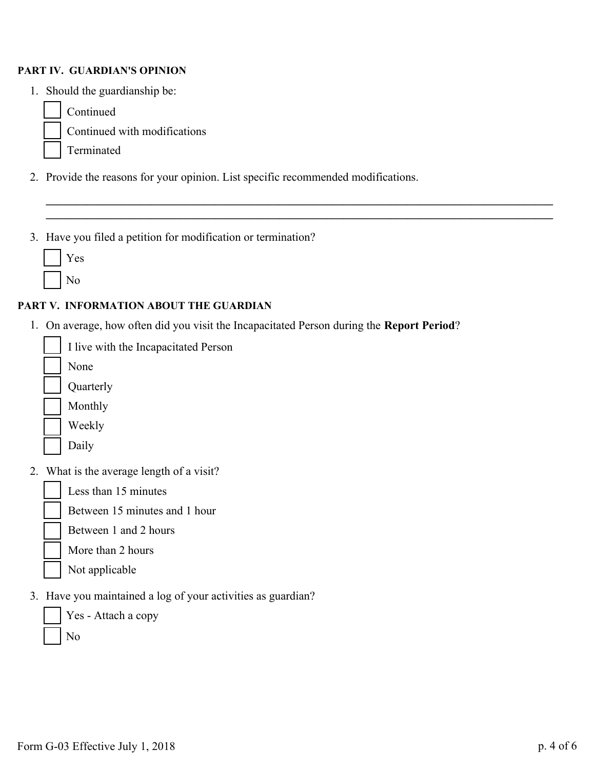#### **PART IV. GUARDIAN'S OPINION**

- 1. Should the guardianship be:
	- Continued ¨

¨  $\ddot{ }$  Continued with modifications

- Terminated
- 2. Provide the reasons for your opinion. List specific recommended modifications.

**\_\_\_\_\_\_\_\_\_\_\_\_\_\_\_\_\_\_\_\_\_\_\_\_\_\_\_\_\_\_\_\_\_\_\_\_\_\_\_\_\_\_\_\_\_\_\_\_\_\_\_\_\_\_\_\_\_\_\_\_\_\_\_\_\_\_\_\_\_\_\_\_\_\_\_\_\_\_\_\_\_\_\_\_\_\_\_ \_\_\_\_\_\_\_\_\_\_\_\_\_\_\_\_\_\_\_\_\_\_\_\_\_\_\_\_\_\_\_\_\_\_\_\_\_\_\_\_\_\_\_\_\_\_\_\_\_\_\_\_\_\_\_\_\_\_\_\_\_\_\_\_\_\_\_\_\_\_\_\_\_\_\_\_\_\_\_\_\_\_\_\_\_\_\_**

3. Have you filed a petition for modification or termination?

No

## **PART V. INFORMATION ABOUT THE GUARDIAN**

1. On average, how often did you visit the Incapacitated Person during the **Report Period**?

I live with the Incapacitated Person ¨

None ¨

Quarterly

 $\ddot{\phantom{a}}$ 

 $\ddot{\phantom{a}}$ 

¨

¨

¨

 $\ddot{\phantom{a}}$ 

¨

Monthly  $\ddot{ }$ 

Weekly



2. What is the average length of a visit?



Between 15 minutes and 1 hour

Between 1 and 2 hours

More than 2 hours

- Not applicable
- 3. Have you maintained a log of your activities as guardian?

Yes - Attach a copy No  $\mathbf{r}$  $\mathbf{r}$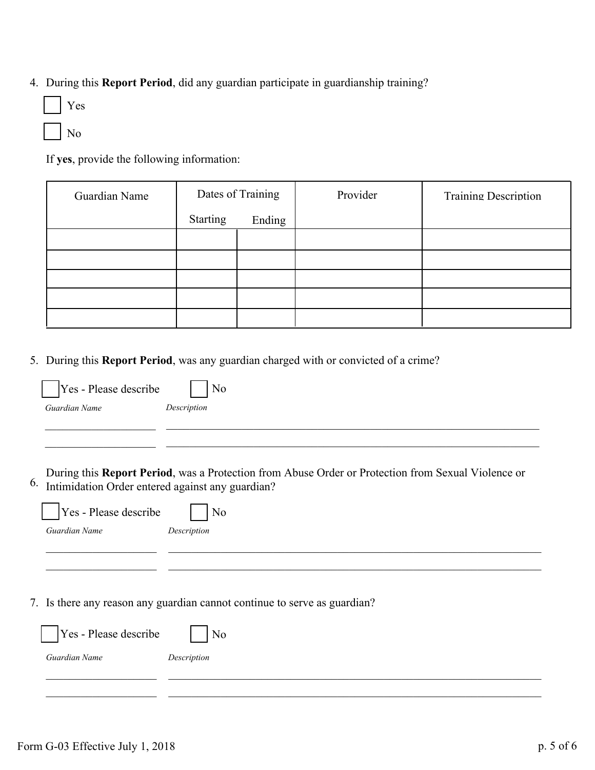4. During this **Report Period**, did any guardian participate in guardianship training?

| es                       |
|--------------------------|
| $\overline{\phantom{a}}$ |

If **yes**, provide the following information:

| Guardian Name | Dates of Training |        | Provider | <b>Training Description</b> |
|---------------|-------------------|--------|----------|-----------------------------|
|               | Starting          | Ending |          |                             |
|               |                   |        |          |                             |
|               |                   |        |          |                             |
|               |                   |        |          |                             |
|               |                   |        |          |                             |
|               |                   |        |          |                             |

5. During this **Report Period**, was any guardian charged with or convicted of a crime?

|    | Yes - Please describe                            | No                                                                                                 |
|----|--------------------------------------------------|----------------------------------------------------------------------------------------------------|
|    | Guardian Name                                    | Description                                                                                        |
|    |                                                  |                                                                                                    |
|    |                                                  |                                                                                                    |
| 6. | Intimidation Order entered against any guardian? | During this Report Period, was a Protection from Abuse Order or Protection from Sexual Violence or |
|    |                                                  |                                                                                                    |
|    | Yes - Please describe                            | No                                                                                                 |
|    | Guardian Name                                    | Description                                                                                        |
|    |                                                  |                                                                                                    |
|    |                                                  |                                                                                                    |
|    |                                                  | 7. Is there any reason any guardian cannot continue to serve as guardian?                          |
|    |                                                  |                                                                                                    |
|    | Yes - Please describe                            | No                                                                                                 |
|    | Guardian Name                                    | Description                                                                                        |
|    |                                                  |                                                                                                    |
|    |                                                  |                                                                                                    |
|    |                                                  |                                                                                                    |